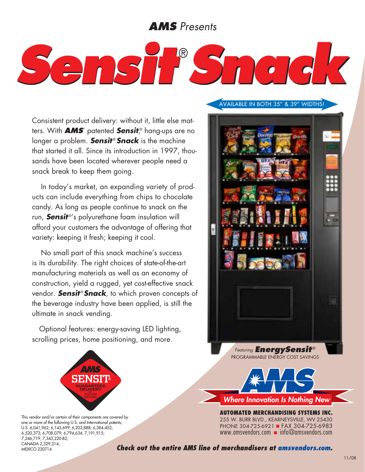# *AMS Presents*



Consistent product delivery: without it, little else matters. With *AMS*' patented *Sensit*, ® hang-ups are no longer a problem. **Sensit<sup>®</sup> Snack** is the machine that started it all. Since its introduction in 1997, thousands have been located wherever people need a snack break to keep them going.

In today's market, an expanding variety of products can include everything from chips to chocolate candy. As long as people continue to snack on the run, **Sensit**<sup>®'</sup>s polyurethane foam insulation will afford your customers the advantage of offering that variety: keeping it fresh; keeping it cool.

No small part of this snack machine's success is its durability. The right choices of state-of-the-art manufacturing materials as well as an economy of construction, yield a rugged, yet cost-effective snack vendor. **Sensit<sup>®</sup> Snack**, to which proven concepts of the beverage industry have been applied, is still the ultimate in snack vending.

Optional features: energy-saving LED lighting, scrolling prices, home positioning, and more.



This vendor and/or certain of their components are covered by one or more of the following U.S. and International patents; U.S. 6,041,962; 6,145,699; 6,202,888; 6,384,402; 6,520,373; 6,708,079; 6,794,634; 7,191,915; 7,246,719; 7,343,220-B2; Canada 2,329,314; Mexico 230714

#### Available in both 35" & 39" widths!



*Where Innovation Is Nothing New*

**AUTOMATED MERCHANDISING SYSTEMs INC.** 255 W. Burr Blvd., Kearneysville, WV 25430 PHONE 304-725-6921 FAX 304-725-6983 www.amsvendors.com  $\blacksquare$  info@amsvendors.com

*Check out the entire AMS line of merchandisers at amsvendors.com.*